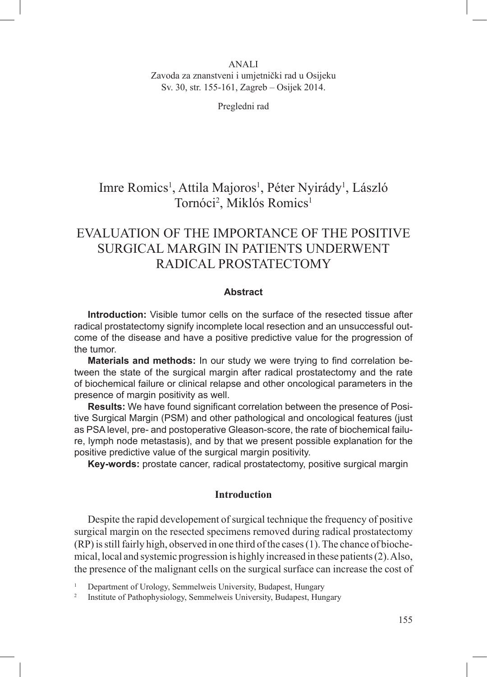## ANALI Zavoda za znanstveni i umjetnički rad u Osijeku Sv. 30, str. 155-161, Zagreb – Osijek 2014.

Pregledni rad

# Imre Romics<sup>1</sup>, Attila Majoros<sup>1</sup>, Péter Nyirády<sup>1</sup>, László Tornóci<sup>2</sup>, Miklós Romics<sup>1</sup>

# Evaluation of the importance of the positive surgical margin in patients underwent radical prostatectomy

## **Abstract**

**Introduction:** Visible tumor cells on the surface of the resected tissue after radical prostatectomy signify incomplete local resection and an unsuccessful outcome of the disease and have a positive predictive value for the progression of the tumor.

**Materials and methods:** In our study we were trying to find correlation between the state of the surgical margin after radical prostatectomy and the rate of biochemical failure or clinical relapse and other oncological parameters in the presence of margin positivity as well.

**Results:** We have found significant correlation between the presence of Positive Surgical Margin (PSM) and other pathological and oncological features (just as PSA level, pre- and postoperative Gleason-score, the rate of biochemical failure, lymph node metastasis), and by that we present possible explanation for the positive predictive value of the surgical margin positivity.

**Key-words:** prostate cancer, radical prostatectomy, positive surgical margin

### **Introduction**

Despite the rapid developement of surgical technique the frequency of positive surgical margin on the resected specimens removed during radical prostatectomy (RP) is still fairly high, observed in one third of the cases (1). The chance of biochemical, local and systemic progression is highly increased in these patients (2). Also, the presence of the malignant cells on the surgical surface can increase the cost of

<sup>1</sup> Department of Urology, Semmelweis University, Budapest, Hungary

<sup>2</sup> Institute of Pathophysiology, Semmelweis University, Budapest, Hungary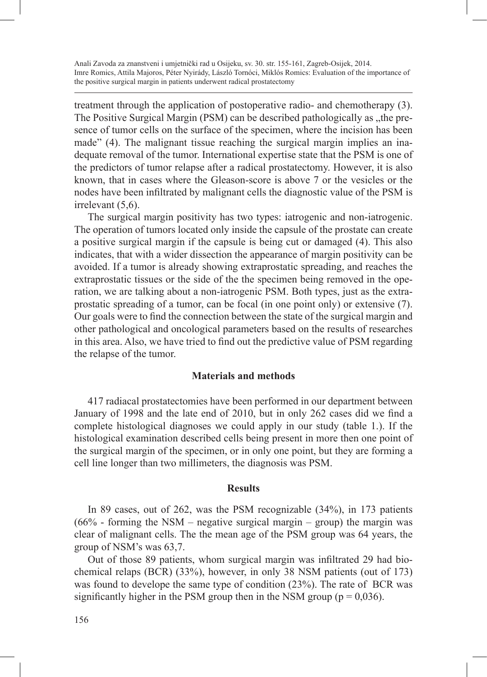treatment through the application of postoperative radio- and chemotherapy (3). The Positive Surgical Margin (PSM) can be described pathologically as , the presence of tumor cells on the surface of the specimen, where the incision has been made" (4). The malignant tissue reaching the surgical margin implies an inadequate removal of the tumor. International expertise state that the PSM is one of the predictors of tumor relapse after a radical prostatectomy. However, it is also known, that in cases where the Gleason-score is above 7 or the vesicles or the nodes have been infiltrated by malignant cells the diagnostic value of the PSM is irrelevant  $(5.6)$ .

The surgical margin positivity has two types: iatrogenic and non-iatrogenic. The operation of tumors located only inside the capsule of the prostate can create a positive surgical margin if the capsule is being cut or damaged (4). This also indicates, that with a wider dissection the appearance of margin positivity can be avoided. If a tumor is already showing extraprostatic spreading, and reaches the extraprostatic tissues or the side of the the specimen being removed in the operation, we are talking about a non-iatrogenic PSM. Both types, just as the extraprostatic spreading of a tumor, can be focal (in one point only) or extensive (7). Our goals were to find the connection between the state of the surgical margin and other pathological and oncological parameters based on the results of researches in this area. Also, we have tried to find out the predictive value of PSM regarding the relapse of the tumor.

## **Materials and methods**

417 radiacal prostatectomies have been performed in our department between January of 1998 and the late end of 2010, but in only 262 cases did we find a complete histological diagnoses we could apply in our study (table 1.). If the histological examination described cells being present in more then one point of the surgical margin of the specimen, or in only one point, but they are forming a cell line longer than two millimeters, the diagnosis was PSM.

#### **Results**

In 89 cases, out of 262, was the PSM recognizable (34%), in 173 patients  $(66\%$  - forming the NSM – negative surgical margin – group) the margin was clear of malignant cells. The the mean age of the PSM group was 64 years, the group of NSM's was 63,7.

Out of those 89 patients, whom surgical margin was infiltrated 29 had biochemical relaps (BCR) (33%), however, in only 38 NSM patients (out of 173) was found to develope the same type of condition (23%). The rate of BCR was significantly higher in the PSM group then in the NSM group ( $p = 0.036$ ).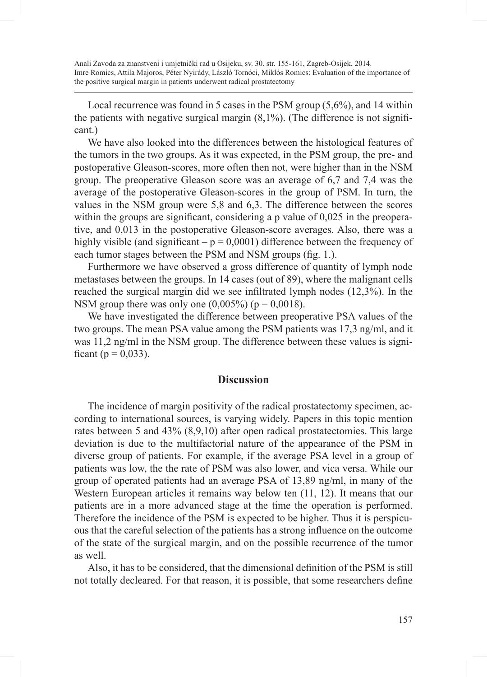Local recurrence was found in 5 cases in the PSM group (5,6%), and 14 within the patients with negative surgical margin  $(8,1\%)$ . (The difference is not significant.)

We have also looked into the differences between the histological features of the tumors in the two groups. As it was expected, in the PSM group, the pre- and postoperative Gleason-scores, more often then not, were higher than in the NSM group. The preoperative Gleason score was an average of 6,7 and 7,4 was the average of the postoperative Gleason-scores in the group of PSM. In turn, the values in the NSM group were 5,8 and 6,3. The difference between the scores within the groups are significant, considering a p value of 0,025 in the preoperative, and 0,013 in the postoperative Gleason-score averages. Also, there was a highly visible (and significant  $-p = 0.0001$ ) difference between the frequency of each tumor stages between the PSM and NSM groups (fig. 1.).

Furthermore we have observed a gross difference of quantity of lymph node metastases between the groups. In 14 cases (out of 89), where the malignant cells reached the surgical margin did we see infiltrated lymph nodes (12,3%). In the NSM group there was only one  $(0,005\%)$  ( $p = 0,0018$ ).

We have investigated the difference between preoperative PSA values of the two groups. The mean PSA value among the PSM patients was 17,3 ng/ml, and it was 11,2 ng/ml in the NSM group. The difference between these values is significant ( $p = 0.033$ ).

# **Discussion**

The incidence of margin positivity of the radical prostatectomy specimen, according to international sources, is varying widely. Papers in this topic mention rates between 5 and 43% (8,9,10) after open radical prostatectomies. This large deviation is due to the multifactorial nature of the appearance of the PSM in diverse group of patients. For example, if the average PSA level in a group of patients was low, the the rate of PSM was also lower, and vica versa. While our group of operated patients had an average PSA of 13,89 ng/ml, in many of the Western European articles it remains way below ten (11, 12). It means that our patients are in a more advanced stage at the time the operation is performed. Therefore the incidence of the PSM is expected to be higher. Thus it is perspicuous that the careful selection of the patients has a strong influence on the outcome of the state of the surgical margin, and on the possible recurrence of the tumor as well.

Also, it has to be considered, that the dimensional definition of the PSM is still not totally decleared. For that reason, it is possible, that some researchers define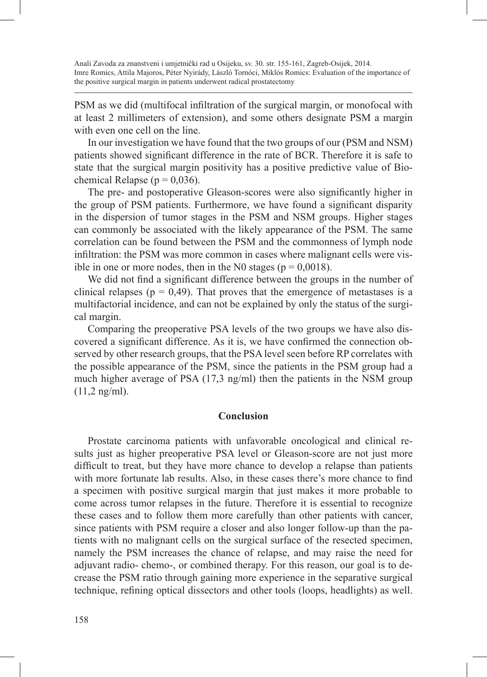PSM as we did (multifocal infiltration of the surgical margin, or monofocal with at least 2 millimeters of extension), and some others designate PSM a margin with even one cell on the line.

In our investigation we have found that the two groups of our (PSM and NSM) patients showed significant difference in the rate of BCR. Therefore it is safe to state that the surgical margin positivity has a positive predictive value of Biochemical Relapse ( $p = 0.036$ ).

The pre- and postoperative Gleason-scores were also significantly higher in the group of PSM patients. Furthermore, we have found a significant disparity in the dispersion of tumor stages in the PSM and NSM groups. Higher stages can commonly be associated with the likely appearance of the PSM. The same correlation can be found between the PSM and the commonness of lymph node infiltration: the PSM was more common in cases where malignant cells were visible in one or more nodes, then in the N0 stages ( $p = 0.0018$ ).

We did not find a significant difference between the groups in the number of clinical relapses ( $p = 0.49$ ). That proves that the emergence of metastases is a multifactorial incidence, and can not be explained by only the status of the surgical margin.

Comparing the preoperative PSA levels of the two groups we have also discovered a significant difference. As it is, we have confirmed the connection observed by other research groups, that the PSA level seen before RP correlates with the possible appearance of the PSM, since the patients in the PSM group had a much higher average of PSA (17,3 ng/ml) then the patients in the NSM group (11,2 ng/ml).

### **Conclusion**

Prostate carcinoma patients with unfavorable oncological and clinical results just as higher preoperative PSA level or Gleason-score are not just more difficult to treat, but they have more chance to develop a relapse than patients with more fortunate lab results. Also, in these cases there's more chance to find a specimen with positive surgical margin that just makes it more probable to come across tumor relapses in the future. Therefore it is essential to recognize these cases and to follow them more carefully than other patients with cancer, since patients with PSM require a closer and also longer follow-up than the patients with no malignant cells on the surgical surface of the resected specimen, namely the PSM increases the chance of relapse, and may raise the need for adjuvant radio- chemo-, or combined therapy. For this reason, our goal is to decrease the PSM ratio through gaining more experience in the separative surgical technique, refining optical dissectors and other tools (loops, headlights) as well.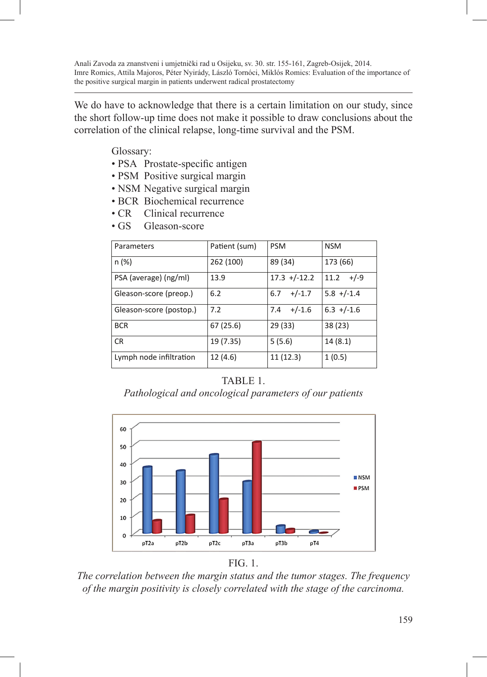We do have to acknowledge that there is a certain limitation on our study, since the short follow-up time does not make it possible to draw conclusions about the correlation of the clinical relapse, long-time survival and the PSM.

Glossary:

- PSA Prostate-specific antigen
- PSM Positive surgical margin
- NSM Negative surgical margin
- BCR Biochemical recurrence
- CR Clinical recurrence
- GS Gleason-score

| Parameters              | Patient (sum) | <b>PSM</b>       | <b>NSM</b>     |
|-------------------------|---------------|------------------|----------------|
| n (%)                   | 262 (100)     | 89 (34)          | 173 (66)       |
| PSA (average) (ng/ml)   | 13.9          | $17.3 + (-12.2)$ | 11.2<br>+/-9   |
| Gleason-score (preop.)  | 6.2           | $+/-1.7$<br>6.7  | $5.8 + (-1.4)$ |
| Gleason-score (postop.) | 7.2           | $+/-1.6$<br>7.4  | $6.3 + (-1.6)$ |
| <b>BCR</b>              | 67(25.6)      | 29 (33)          | 38 (23)        |
| <b>CR</b>               | 19 (7.35)     | 5(5.6)           | 14(8.1)        |
| Lymph node infiltration | 12 (4.6)      | 11(12.3)         | 1(0.5)         |

# TABLE 1.

*Pathological and oncological parameters of our patients* 





*The correlation between the margin status and the tumor stages. The frequency of the margin positivity is closely correlated with the stage of the carcinoma.*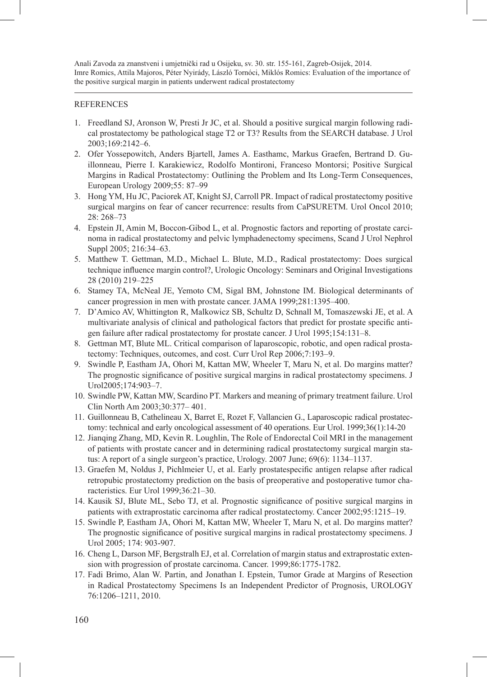#### **REFERENCES**

- 1. Freedland SJ, Aronson W, Presti Jr JC, et al. Should a positive surgical margin following radical prostatectomy be pathological stage T2 or T3? Results from the SEARCH database. J Urol 2003;169:2142–6.
- 2. Ofer Yossepowitch, Anders Bjartell, James A. Easthamc, Markus Graefen, Bertrand D. Guillonneau, Pierre I. Karakiewicz, Rodolfo Montironi, Franceso Montorsi; Positive Surgical Margins in Radical Prostatectomy: Outlining the Problem and Its Long-Term Consequences, European Urology 2009;55: 87–99
- 3. Hong YM, Hu JC, Paciorek AT, Knight SJ, Carroll PR. Impact of radical prostatectomy positive surgical margins on fear of cancer recurrence: results from CaPSURETM. Urol Oncol 2010; 28: 268–73
- 4. Epstein JI, Amin M, Boccon-Gibod L, et al. Prognostic factors and reporting of prostate carcinoma in radical prostatectomy and pelvic lymphadenectomy specimens, Scand J Urol Nephrol Suppl 2005; 216:34–63.
- 5. Matthew T. Gettman, M.D., Michael L. Blute, M.D., Radical prostatectomy: Does surgical technique influence margin control?, Urologic Oncology: Seminars and Original Investigations 28 (2010) 219–225
- 6. Stamey TA, McNeal JE, Yemoto CM, Sigal BM, Johnstone IM. Biological determinants of cancer progression in men with prostate cancer. JAMA 1999;281:1395–400.
- 7. D'Amico AV, Whittington R, Malkowicz SB, Schultz D, Schnall M, Tomaszewski JE, et al. A multivariate analysis of clinical and pathological factors that predict for prostate specific antigen failure after radical prostatectomy for prostate cancer. J Urol 1995;154:131–8.
- 8. Gettman MT, Blute ML. Critical comparison of laparoscopic, robotic, and open radical prostatectomy: Techniques, outcomes, and cost. Curr Urol Rep 2006;7:193–9.
- 9. Swindle P, Eastham JA, Ohori M, Kattan MW, Wheeler T, Maru N, et al. Do margins matter? The prognostic significance of positive surgical margins in radical prostatectomy specimens. J Urol2005;174:903–7.
- 10. Swindle PW, Kattan MW, Scardino PT. Markers and meaning of primary treatment failure. Urol Clin North Am 2003;30:377– 401.
- 11. Guillonneau B, Cathelineau X, Barret E, Rozet F, Vallancien G., Laparoscopic radical prostatectomy: technical and early oncological assessment of 40 operations. Eur Urol. 1999;36(1):14-20
- 12. Jianqing Zhang, MD, Kevin R. Loughlin, The Role of Endorectal Coil MRI in the management of patients with prostate cancer and in determining radical prostatectomy surgical margin status: A report of a single surgeon's practice, Urology. 2007 June; 69(6): 1134–1137.
- 13. Graefen M, Noldus J, Pichlmeier U, et al. Early prostatespecific antigen relapse after radical retropubic prostatectomy prediction on the basis of preoperative and postoperative tumor characteristics. Eur Urol 1999;36:21–30.
- 14. Kausik SJ, Blute ML, Sebo TJ, et al. Prognostic significance of positive surgical margins in patients with extraprostatic carcinoma after radical prostatectomy. Cancer 2002;95:1215–19.
- 15. Swindle P, Eastham JA, Ohori M, Kattan MW, Wheeler T, Maru N, et al. Do margins matter? The prognostic significance of positive surgical margins in radical prostatectomy specimens. J Urol 2005; 174: 903-907.
- 16. Cheng L, Darson MF, Bergstralh EJ, et al. Correlation of margin status and extraprostatic extension with progression of prostate carcinoma. Cancer. 1999;86:1775-1782.
- 17. Fadi Brimo, Alan W. Partin, and Jonathan I. Epstein, Tumor Grade at Margins of Resection in Radical Prostatectomy Specimens Is an Independent Predictor of Prognosis, UROLOGY 76:1206–1211, 2010.